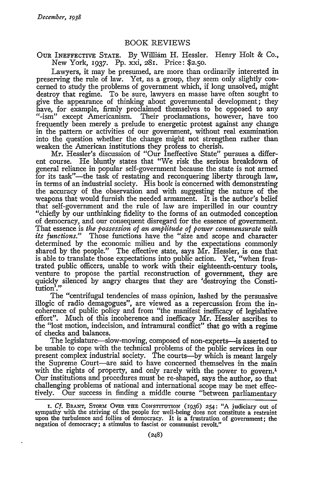## BOOK REVIEWS

OUR INEFFECTIVE STATE. By William H. Hessler. Henry Holt & Co., New York, 1937. Pp. xxi, 281. Price: \$2.50.

Lawyers, it may be presumed, are more than ordinarily interested in preserving the rule of law. Yet, as a group, they seem only slightly concerned to study the problems of government which, if long unsolved, might destroy that regime. To be sure, lawyers en masse have often sought to give the appearance of thinking about governmental development; they have, for example, firmly proclaimed themselves to be opposed to any "-ism" except Americanism. Their proclamations, however, have too frequently been merely a prelude to energetic protest against any change in the pattern or activities of our government, without real examination into the question whether the change might not strengthen rather than weaken the American institutions they profess to cherish.

Mr. Hessler's discussion of "Our Ineffective State" pursues a different course. He bluntly states that "We risk the serious breakdown of general reliance in popular self-government because the state is not armed for its task"-the task of restating and reconquering liberty through law, in terms of an industrial society. His book is concerned with demonstrating the accuracy of the observation and with suggesting the nature of the weapons that would furnish the needed armament. It is the author's belief that self-government and the rule of law are imperilled in our country "chiefly by our unthinking fidelity to the forms of an outmoded conception of democracy, and our consequent disregard for the essence of government. That essence is *the possession of an amplitude of power commensurate with its functions."* Those functions have the "size and scope and character determined **by** the economic milieu and **by** the expectations commonly shared **by** the people." The effective state, says Mr. Hessler, is one that is able to translate those expectations into public action. Yet, "when frustrated public officers, unable to work with their eighteenth-century tools, venture to propose the partial reconstruction of government, they are quickly silenced **by** angry charges that they are 'destroying the Constitution'."

The "centrifugal tendencies of mass opinion, lashed **by** the persuasive illogic of radio demagogues", are viewed as a repercussion from the incoherence of public policy and from "the manifest inefficacy of legislative effort". Much of this incoherence and inefficacy Mr. Hessler ascribes to the "lost motion, indecision, and intramural conflict" that go with a regime of checks and balances.

The legislature—slow-moving, composed of non-experts—is asserted to be unable to cope with the technical problems of the public services in our present complex industrial society. The courts-by which is meant largely the Supreme Court-are said to have concerned themselves in the main with the rights of property, and only rarely with the power to govern.<sup>1</sup> Our institutions and procedures must be re-shaped, says the author, so that challenging problems of national and international scope may be met effectively. Our success in finding a middle course "between parliamentary

**I.** *Cf.* **BRANT,** STORM **OVER THE CONSTITUTION** (1936) 254: "A judiciary out of sympathy with the striving of the people for well-being does not constitute a restraint upon the turbulence and follies of democracy. It is a frustration of government; the negation of democracy; a stimulus to fascist or communist revolt."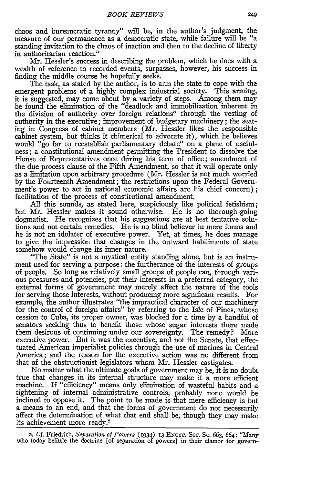chaos and bureaucratic tyranny" will be, in the author's judgment, the measure of our permanence as a democratic state, while failure will be "a standing invitation to the chaos of inaction and then to the decline of liberty in authoritarian reaction."

Mr. Hessler's success in describing the problem, which he does with a wealth of reference to recorded events, surpasses, however, his success in finding the middle course he hopefully seeks.

The task, as stated by the author, is to arm the state to cope with the emergent problems of a highly complex industrial society. This arming, it is suggested, may come about by a variety of steps. Among them may be found the elimination of the "deadlock and immobilization inherent in the division of authority over foreign relations" through the vesting of authority in the executive; improvement of budgetary machinery; the seating in Congress of cabinet members (Mr. Hessler likes the responsible cabinet system, but thinks it chimerical to advocate it), which he believes would "go far to reestablish parliamentary debate" on a plane of usefulness; a constitutional amendment permitting the President to dissolve the House of Representatives once during his term of office; amendment of the due process clause of the Fifth Amendment, so that it will operate only as a limitation upon arbitrary procedure (Mr. Hessler is not much worried by the Fourteenth Amendment; the restrictions upon the Federal Government's power to act in national economic affairs are his chief concern); facilitation of the process of constitutional amendment.

All this sounds, as stated here, suspiciously like political fetishism; but Mr. Hessler makes it sound otherwise. He is no thorough-going dogmatist. He recognizes that his suggestions are at best tentative solutions and not certain remedies. He is no blind believer in mere forms and he is not an idolater of executive power. Yet, at times, he does manage to give the impression that changes in the outward habiliments of state somehow would change its inner nature.

"The State" is not a mystical entity standing alone, but is an instrument used for serving a purpose: the furtherance of the interests of groups of people. So long as relatively small groups of people can, through various pressures and potencies, put their interests in a preferred category, the external forms of government may merely affect the nature of the tools for serving those interests, without producing more significant results. For example, the author illustrates "the impractical character of our machinery for the control of foreign affairs" by referring to the Isle of Pines, whose cession to Cuba, its proper owner, was blocked for a time by a handful of senators seeking thus to benefit those whose sugar interests there made them desirous of continuing under our sovereignty. The remedy? More executive power. But it was the executive, and not the Senate, that effectuated American imperialist policies through the use of marines in Central America; and the reason for the executive action was no different from that of the obstructionist legislators whom Mr. Hessler castigates.

No matter what the ultimate goals of government may be, it is no doubt true that changes in its internal structure may make it a more efficient machine. If "efficiency" means only elimination of wasteful habits and a tightening of internal administrative controls, probably none would be inclined to oppose it. The point to be made is that mere efficiency is but a means to an end, and that the forms of government do not necessarily affect the determination of what that end shall be, though they may make its achievement more ready.2

2. *Cf.* Friedrich, *Separation of Powers* (1934) **13** ENcyc. Soc. Sc. 663, 664: "Many who today belittle the doctrine [of separation of powers] in their clamor for govern-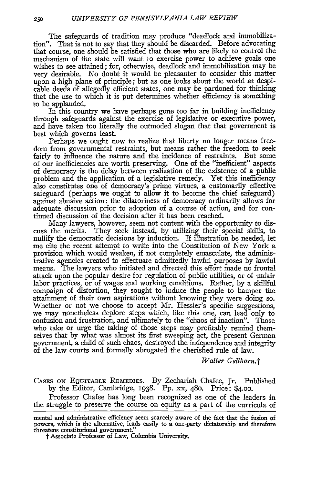The safeguards of tradition may produce "deadlock and immobilization". That is not to say that they should be discarded. Before advocating that course, one should be satisfied that those who are likely to control the mechanism of the state will want to exercise power to achieve goals one wishes to see attained; for, otherwise, deadlock and immobilization may be very desirable. No doubt it would be pleasanter to consider this matter upon a high plane of principle; but as one looks about the world at despicable deeds of allegedly efficient states, one may be pardoned for thinking that the use to which it is put determines whether efficiency is something to be applauded.

In this country we have perhaps gone too far in building inefficiency through safeguards against the exercise of legislative or executive power, and have taken too literally the outmoded slogan that that government is best which governs least.

Perhaps we ought now to realize that liberty no longer means freedom from governmental restraints, but means rather the freedom to seek fairly to influence the nature and the incidence of restraints. But some of our inefficiencies are worth preserving. One of the "inefficient" aspects of democracy is the delay between realization of the existence of a public problem and the application of a legislative remedy. Yet this inefficiency also constitutes one of democracy's prime virtues, a customarily effective safeguard (perhaps we ought to allow it to become the chief safeguard) against abusive action: the dilatoriness of democracy ordinarily allows for adequate discussion prior to adoption of a course of action, and for continued discussion of the decision after it has been reached.

Many lawyers, however, seem not content with the opportunity to discuss the merits. They seek instead, by utilizing their special skills, to nullify the democratic decisions by induction. If illustration be needed, let me cite the recent attempt to write into the Constitution of New York a provision which would weaken, if not completely emasculate, the administrative agencies created to effectuate admittedly lawful purposes by lawful means. The lawyers who initiated and directed this effort made no frontal attack upon the popular desire for regulation of public utilities, or of unfair labor practices, or of wages and working conditions. Rather, by a skillful compaign of distortion, they sought to induce the people to hamper the attainment of their own aspirations without knowing they were doing so. Whether or not we choose to accept Mr. Hessler's specific suggestions, we may nonetheless deplore steps which, like this one, can lead only to confusion and frustration, and ultimately to the "chaos of inaction". Those who take or urge the taking of those steps may profitably remind themselves that by what was almost its first sweeping act, the present German government, a child of such chaos, destroyed the independence and integrity of the law courts and formally abrogated the cherished rule of law.

*Walter Gellhorn.t*

**CASES ON EQUITABLE REMEDIES. By** Zechariah Chafee, Jr. Published by the Editor, Cambridge, 1938. Pp. xx, 480. Price: \$4.oo.

Professor Chafee has long been recognized as one of the leaders in the struggle to preserve the course on equity as a part of the curricula of

t Associate Professor of Law, Columbia University.

mental and administrative efficiency seem scarcely aware of the fact that the fusion **of** powers, which is the alternative, leads easily to a one-party dictatorship and therefore threatens constitutional government."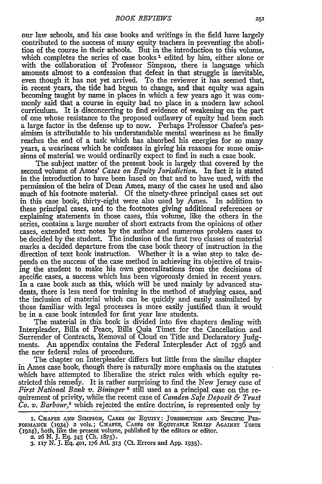our law schools, and his case books and writings in the field have largely contributed to the success of many equity teachers in preventing the abolition of the course in their schools. But in the introduction to this volume, which completes the series of case books<sup>1</sup> edited by him, either alone or with the collaboration of Professor Simpson, there is language which amounts almost to a confession that defeat in that struggle is inevitable, even though it has not yet arrived. To the reviewer it has seemed that, in recent years, the tide had begun to change, and that equity was again becoming taught by name in places in which a few years ago it was commonly said that a course in equity had no place in a modern law school curriculum. It is disconcerting to find evidence of weakening on the part of one whose resistance to the proposed outlawry of equity had been such a large factor in the defense up to now. Perhaps Professor Chafee's pessimism is attributable to his understandable mental weariness as he finally reaches the end of a task which has absorbed his energies for so many years, a weariness which he confesses in giving his reasons for some omissions of material we would ordinarily expect to find in such a case book.

The subject matter of the present book is largely that covered by the second volume of Ames' *Cases on Equity Jurisdiction.* In fact it is stated in the introduction to have been based on that and to have used, with the permission of the heirs of Dean Ames, many of the cases he used and also much of his footnote material. Of the ninety-three principal cases set out in this case book, thirty-eight were also used by Ames. In addition to these principal cases, and to the footnotes giving additional references or explaining statements in those cases, this volume, like the others in the series, contains a large number of short extracts from the opinions of other cases, extended text notes by the author and numerous problem caseg to be decided by the student. The inclusion of the first two classes of material marks a decided departure from the case book theory of instruction in the direction of text book instruction. Whether it is a wise step to take depends on the success of the case method in achieving its objective of training the student to make his own generalizations from the decisions of specific cases, a success which has been vigorously denied in recent years. In a case book such as this, which will be used mainly by advanced students, there is less need for training in the method of studying cases, and the inclusion of material which can be quickly and easily assimilated by those familiar with legal processes is more easily justified than it would be in a case book intended for first year law students.

The material in this book is divided into five chapters dealing with Interpleader, Bills of Peace, Bills Quia Timet for the Cancellation and Surrender of Contracts, Removal of Cloud on Title and Declaratory Judgments. An appendix contains the Federal Interpleader Act of 1936 and the new federal rules of procedure.

The chapter on Interpleader differs but little from the similar chapter in Ames case book, though there is naturally more emphasis on the statutes which have attempted to liberalize the strict rules with which equity restricted this remedy. It is rather surprising to find the New Jersey case of *First National Bank v. Bininger 2* still used as a principal case on the requirement of privity, while the recent case of *Camden Safe Deposit & Trust Co. v. Barbour,8* which rejected the entire doctrine, is represented only by

I. **CHAFEE AND** SIMPSON, CASES ON **EQUITY: JuRismicrION AND** SPECIFIC Pm-FORMANCE (1934) 2 **vols.; CHAFEE, CASES** ON **EQUITABLE** RELIEF AGAINST TORTS (x924), both, like the present volume, published by the editors or editor.

<sup>2.</sup> **26** N. **J.** Eq. 345 (Ch. 1875).

**<sup>3. 117</sup>** N. **J. Eq. 401,** 176 Ati. **313** (Ct. Errors and **App.** 1935).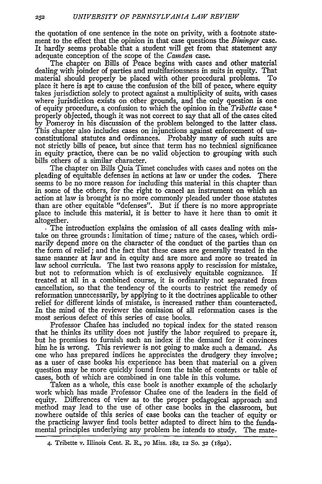the quotation of one sentence in the note on privity, with a footnote statement to the effect that the opinion in that case questions the *Bininger* case. It hardly seems probable that a student will get from that statement any adequate conception of the scope of the *Camden* case.

The chapter on Bills of Peace begins with cases and other material dealing with joinder of parties and multifariousness in suits in equity. That material should properly be placed with other procedural problems. To place it here is apt to cause the confusion of the bill of peace, where equity takes jurisdiction solely to protect against a multiplicity of suits, with cases where jurisdiction exists on other grounds, and the only question is one of equity procedure, a confusion to which the opinion in the *Tribette* case 4 properly objected, though it was not correct to say that all of the cases cited by Pomeroy in his discussion of the problem belonged to the latter class. This chapter also includes cases on injunctions against enforcement of unconstitutional statutes and ordinances. Probably many of such suits are not strictly bills of peace, but since that term has no technical significance in equity practice, there can be no valid objection to grouping with such bills others of a similar character.

The chapter on Bills Quia Timet concludes with cases and notes on the pleading of equitable defenses in actions at law or under the codes. There seems to be no more reason for including this material in this chapter than in some of the others, for the right to cancel an instrument on which an action at law is brought is no more commonly pleaded under those statutes than are other equitable "defenses". But if there is no more appropriate place to include this material, it is better to have it here than to omit it altogether.

**.** The introduction explains the omission of all cases dealing with mistake on three grounds: limitation of time; nature of the cases, which ordinarily depend more on the character of the conduct of the parties than on the form of relief; and the fact that these cases are generally treated in the same manner at law and in equity and are more and more so treated in law school curricula. The last two reasons apply to rescission for mistake, but not to reformation which is of exclusively equitable cognizance. If treated at all in a combined course, it is ordinarily not separated from cancellation, so that the tendency of the courts to restrict the remedy of reformation unnecessarily, by applying to it the doctrines applicable to other relief for different kinds of mistake, is increased rather than counteracted. In the mind of the reviewer the omission of all reformation cases is the most serious defect of this series of case books.

Professor Chafee has included no topical index for the stated reason that he thinks its utility does not justify the labor required to prepare it, but he promises to furnish such an index if the demand for it convinces him he is wrong. This reviewer is not going to make such a demand. As one who has prepared indices he appreciates the drudgery they involve; as a user of case books his experience has been that material on a given question may be more quickly found from the table of contents or table of cases, both of which are combined in one table in this volume.

Taken as a whole, this case book is another example of the scholarly work which has made Professor Chafee one of the leaders in the field of equity. Differences of view as to the proper pedagogical approach and method may lead to the use of other case books in the classroom, but nowhere outside of this series of case books can the teacher of equity or the practicing lawyer find tools better adapted to direct him to the fundamental principles underlying any problem he intends to study. The mate-

<sup>4.</sup> Tribette v. Illinois Cent. R. R., **70** Miss. 182, 12 So. **32** (1892).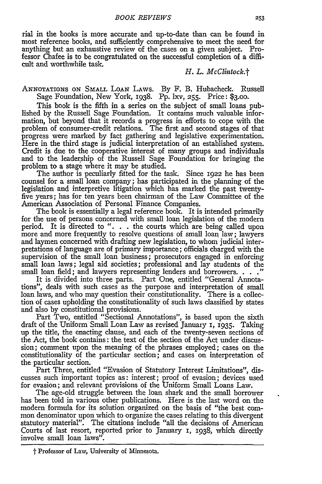rial in the books is more accurate and up-to-date than can be found in most reference books, and sufficiently comprehensive to meet the need for anything but an exhaustive review of the cases on a given subject. Professor Chafee is to be congratulated on the successful completion of a difficult and worthwhile task.

## *H. L. McClintock.t*

**ANNOTATIONS ON SMALL** LOAN LAWS. By F. B. Hubacheck. Russell Sage Foundation, New York, 1938. Pp. lxv, **255.** Price: **\$3.00.**

This book is the fifth in a series on the subject of small loans published by the Russell Sage Foundation. It contains much valuable information, but beyond that it records a progress in efforts to cope with the problem of consumer-credit relations. The first and second stages of that progress were marked by fact gathering and legislative experimentation. Here in the third stage is judicial interpretation of an established system. Credit is due to the cooperative interest of many groups and individuals and to the leadership of the Russell Sage Foundation for bringing the problem to a stage where it may be studied.

The author is peculiarly fitted for the task. Since 1922 he has been counsel for a small loan company; has participated in the planning of the legislation and interpretive litigation which has marked the past twentyfive years; has for ten years been chairman of the Law Committee of the American Association of Personal Finance Companies.

The book is essentially a legal reference book. It is intended primarily for the use of persons concerned with small loan legislation of the modem period. It is directed to ". **..** the courts which are being called upon more and more frequently to resolve questions of small loan law; lawyers and laymen concerned with drafting new legislation, to whom judicial interpretations of language are of primary importance; officials charged with the supervision of the small loan business; prosecutors engaged in enforcing small loan laws; legal aid societies; professional and lay students of the small loan field; and lawyers representing lenders and borrowers. **.. "** It is divided into three parts. Part One, entitled "General Annota-

tions", deals with such cases as the purpose and interpretation of small loan laws, and who may question their constitutionality. There is a collection of cases upholding the constitutionality of such laws classified by states and also by constitutional provisions.

Part Two, entitled "Sectional Annotations", is based upon the sixth draft of the Uniform Small Loan Law as revised January 1, **1935.** Taking up the title, the enacting clause, and each of the twenty-seven sections of the Act, the book contains: the text of the section of the Act under discussion; comment upon the meaning of the phrases employed; cases on the constitutionality of the particular section; and cases on interpretation of the particular section.

Part Three, entitled "Evasion of Statutory Interest Limitations", discusses such important topics as: interest; proof of evasion; devices used for evasion; and relevant provisions of the Uniform Small Loans Law.

The age-old struggle between the loan shark and the small borrower has been told in various other publications. Here is the last word on the modem formula for its solution organized on the basis of "the best common denominator upon which to organize the cases relating to this divergent statutory material". The citations include "all the decisions of American Courts of last resort, reported prior to January 1, 1938, which directly involve small loan laws".

t Professor of Law, University of Minnesota.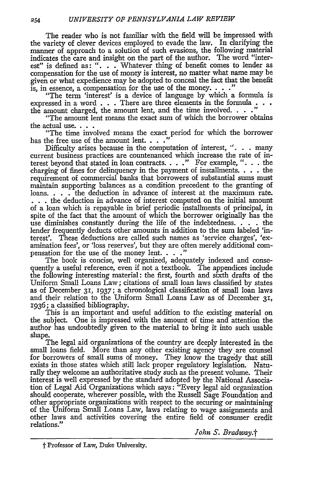The reader who is not familiar with the field will be impressed with the variety of clever devices employed to evade the law. In clarifying the manner of approach to a solution of such evasions, the following material indicates the care and insight on the part of the author. The word "interest" is defined as: **". .** . Whatever thing of benefit comes to lender as compensation for the use of money is interest, no matter what name may be given or what expedience may be adopted to conceal the fact that the benefit is, in essence, a compensation for the use of the money.  $\ldots$ ."

"The term 'interest' is a device of language by which a formula is expressed in a word . . . There are three elements in the formula . . . the amount charged, the amount lent, and the time involved. **.. ."**

"The amount lent means the exact sum of which the borrower obtains the actual use. . . .

"The time involved means the exact period for which the borrower has the free use of the amount lent. . . .<sup>'</sup>

Difficulty arises because in the computation of interest,  $\cdot$ ... many current business practices are countenanced which increase the rate of interest beyond that stated in loan contracts. . . **."** For example, *"...* the charging of fines for delinquency in the payment of installments.  $\dots$  the requirement of commercial banks that borrowers of substantial sums must maintain supporting balances as a condition precedent to the granting of loans. . . . The deduction in advance of interest at the maximum rate. **...** the deduction in advance of interest computed on the initial amount of a loan which is repayable in brief periodic installments of principal, in spite of the fact that the amount of which the borrower originally has the use diminishes constantly during the life of the indebtedness. . **.** . the lender frequently deducts other amounts in addition to the sum labeled 'interest'. These deductions are called such names as 'service charges', 'examination fees', or 'loss reserves', but they are often merely additional compensation for the use of the money lent. **.. ."**

The book is concise, well organized, adequately indexed and consequently a useful reference, even if not a textbook. The appendices include the following interesting material: the first, fourth and sixth drafts of the Uniform Small Loans Law; citations of small loan laws classified by states as of December **31, 1937;** a chronological classification of small loan laws and their relation to the Uniform Small Loans Law as of December **31,** 1936; a classified bibliography.

This is an important and useful addition to the existing material on the subject. One is impressed with the amount of time and attention the author has undoubtedly given to the material to bring it into such usable shape.

The legal aid organizations of the country are deeply interested in the small loans field. More than any other existing agency they are counsel for borrowers of small sums of money. They know the tragedy that still exists in those states which still lack proper regulatory legislation. Naturally they welcome an authoritative study such as the present volume. Their interest is well expressed by the standard adopted by the National Association of Legal Aid Organizations which says: "Every legal aid organization should cooperate, wherever possible, with the Russell Sage Foundation and other appropriate organizations with respect to the securing or maintaining of the Uniform Small Loans Law, laws relating to wage assignments and other laws and activities covering the entire field of consumer credit relations."

*John S. Bradway.t*

t Professor of Law, Duke University.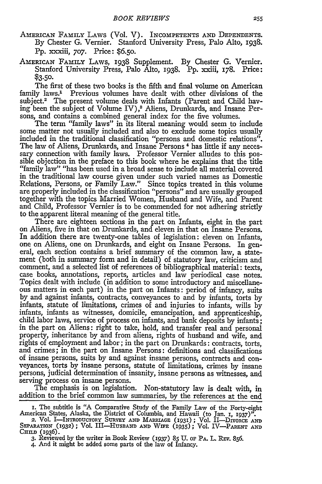AMERICAN FAMILY LAWS (Vol. V). INCOMPETENTS AND DEPENDENTS. By Chester G. Vernier. Stanford University Press, Palo Alto, 1938. Pp. xxxiii, **707.** Price: **\$6.50.**

AMERICAN FAMILY LAWS, 1938 Supplement. **By** Chester **G.** Vernier. Stanford University Press, Palo Alto, 1938. Pp. xxiii, 178. Price: \$3.50.

The first of these two books is the fifth and final volume on American family laws.1 Previous volumes have dealt with other divisions of the subject.<sup>2</sup> The present volume deals with Infants (Parent and Child having been the subject of Volume IV), 3 Aliens, Drunkards, and Insane Persons, and contains a combined general index for the five volumes.

The term "family laws" in its literal meaning would seem to include some matter not usually included and also to exclude some topics usually included in the traditional classification "persons and domestic relations". The law of Aliens, Drunkards, and Insane Persons 4 has little if any necessary connection with family laws. Professor Vernier alludes to this possible objection in the preface to this book where he explains that the title "family law" "has been used in a broad sense to include all material covered in the traditional law course given under such varied names as Domestic Relations, Persons, or Family Law." Since topics treated in this volume are properly included in the classification "persons" and are usually grouped together with the topics Married Women, Husband and Wife, and Parent and Child, Professor Vernier is to be commended for not adhering strictly to the apparent literal meaning of the general title.

There are eighteen sections in the part on Infants, eight in the part on Aliens, five in that on Drunkards, and eleven in that on Insane Persons. In addition there are twenty-one tables of legislation: eleven on Infants, one on Aliens, one on Drunkards, and eight on Insane Persons. In general, each section contains a brief summary of the common law, a statement (both in summary form and in detail) of statutory law, criticism and comment, and a selected list of references of bibliographical material: texts, case books, annotations, reports, articles and law periodical case notes. Topics dealt with include (in addition to some introductory and miscellaneous matters in each part) in the part on Infants: period of infancy, suits by and against infants, contracts, conveyances to and by infants, torts by infants, statute of limitations, crimes of and injuries to infants, wills by infants, infants as witnesses, domicile, emancipation, and apprenticeship, child labor laws, service of process on infants, and bank deposits by infants; in the part on Aliens: right to take, hold, and transfer real and personal property, inheritance by and from aliens, rights of husband and wife, and rights of employment and labor; in the part on Drunkards: contracts, torts, and crimes; in the part on Insane Persons: definitions and classifications of insane persons, suits by and against insane persons, contracts and conveyances, torts by insane persons, statute of limitations, crimes by insane persons, judicial determination of insanity, insane persons as witnesses, and serving process on insane persons.

The emphasis is on legislation. Non-statutory law is dealt with, in addition to the brief common law summaries, by the references at the end

**I.** The subtitle is **"A** Comparative Study of the Family Law of the Forty-eight American States, Alaska, the District of Columbia, and Hawaii (to Jan. **I, 1937)".**

**<sup>2.</sup>** Vol. **I-INTRODUCTORY** SURVEY **AND** MARRIAGE (93); Vol. II-DIvoRcE **AND** SEPARATION **(1932);** Vol. III-HUSBAND **AND WIFE (1935);** Vol. IV-PARENT **AND CHILD** (1936).

**<sup>3.</sup>** Reviewed by the writer in Book Review (937) **85 U.** OF PA. L. REV. 856.

<sup>4.</sup> And it might be added some parts of the law of Infancy.